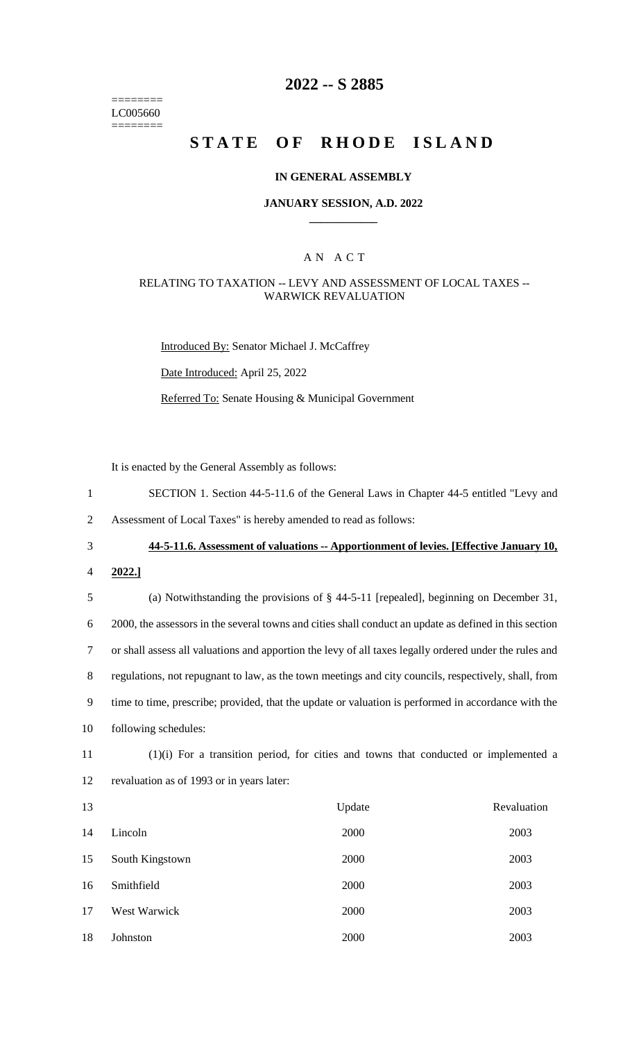======== LC005660 ========

## **2022 -- S 2885**

# **STATE OF RHODE ISLAND**

#### **IN GENERAL ASSEMBLY**

## **JANUARY SESSION, A.D. 2022 \_\_\_\_\_\_\_\_\_\_\_\_**

## A N A C T

## RELATING TO TAXATION -- LEVY AND ASSESSMENT OF LOCAL TAXES -- WARWICK REVALUATION

Introduced By: Senator Michael J. McCaffrey

Date Introduced: April 25, 2022

Referred To: Senate Housing & Municipal Government

It is enacted by the General Assembly as follows:

- 1 SECTION 1. Section 44-5-11.6 of the General Laws in Chapter 44-5 entitled "Levy and
- 2 Assessment of Local Taxes" is hereby amended to read as follows:

3 **44-5-11.6. Assessment of valuations -- Apportionment of levies. [Effective January 10,** 

4 **2022.]**

 (a) Notwithstanding the provisions of § 44-5-11 [repealed], beginning on December 31, 2000, the assessors in the several towns and cities shall conduct an update as defined in this section or shall assess all valuations and apportion the levy of all taxes legally ordered under the rules and regulations, not repugnant to law, as the town meetings and city councils, respectively, shall, from time to time, prescribe; provided, that the update or valuation is performed in accordance with the following schedules:

11 (1)(i) For a transition period, for cities and towns that conducted or implemented a 12 revaluation as of 1993 or in years later:

| 13 |                 | Update | Revaluation |
|----|-----------------|--------|-------------|
| 14 | Lincoln         | 2000   | 2003        |
| 15 | South Kingstown | 2000   | 2003        |
| 16 | Smithfield      | 2000   | 2003        |
| 17 | West Warwick    | 2000   | 2003        |
| 18 | Johnston        | 2000   | 2003        |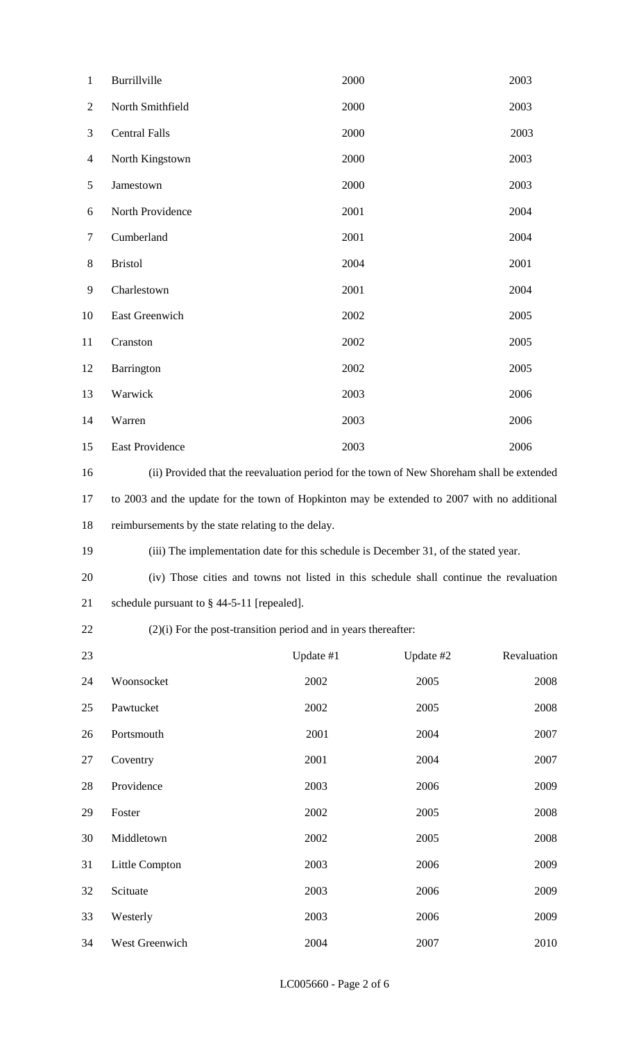| $\mathbf{1}$   | Burrillville                                                                                | 2000      |           | 2003        |  |
|----------------|---------------------------------------------------------------------------------------------|-----------|-----------|-------------|--|
| $\overline{2}$ | North Smithfield                                                                            | 2000      |           | 2003        |  |
| 3              | <b>Central Falls</b>                                                                        | 2000      |           | 2003        |  |
| $\overline{4}$ | North Kingstown                                                                             | 2000      |           | 2003        |  |
| $\mathfrak{S}$ | Jamestown                                                                                   | 2000      |           | 2003        |  |
| 6              | North Providence                                                                            | 2001      |           | 2004        |  |
| $\overline{7}$ | Cumberland                                                                                  | 2001      |           | 2004        |  |
| $8\,$          | <b>Bristol</b>                                                                              | 2004      |           | 2001        |  |
| 9              | Charlestown                                                                                 | 2001      |           | 2004        |  |
| 10             | East Greenwich                                                                              | 2002      |           | 2005        |  |
| 11             | Cranston                                                                                    | 2002      |           | 2005        |  |
| 12             | Barrington                                                                                  | 2002      |           | 2005        |  |
| 13             | Warwick                                                                                     | 2003      |           | 2006        |  |
| 14             | Warren                                                                                      | 2003      |           | 2006        |  |
| 15             | East Providence                                                                             | 2003      |           | 2006        |  |
| 16             | (ii) Provided that the reevaluation period for the town of New Shoreham shall be extended   |           |           |             |  |
| 17             | to 2003 and the update for the town of Hopkinton may be extended to 2007 with no additional |           |           |             |  |
| 18             | reimbursements by the state relating to the delay.                                          |           |           |             |  |
| 19             | (iii) The implementation date for this schedule is December 31, of the stated year.         |           |           |             |  |
| 20             | (iv) Those cities and towns not listed in this schedule shall continue the revaluation      |           |           |             |  |
| 21             | schedule pursuant to $\S$ 44-5-11 [repealed].                                               |           |           |             |  |
| 22             | $(2)(i)$ For the post-transition period and in years thereafter:                            |           |           |             |  |
| 23             |                                                                                             | Update #1 | Update #2 | Revaluation |  |
| 24             | Woonsocket                                                                                  | 2002      | 2005      | 2008        |  |
| 25             | Pawtucket                                                                                   | 2002      | 2005      | 2008        |  |
| 26             | Portsmouth                                                                                  | 2001      | 2004      | 2007        |  |
| 27             | Coventry                                                                                    | 2001      | 2004      | 2007        |  |
| 28             | Providence                                                                                  | 2003      | 2006      | 2009        |  |
| 29             | Foster                                                                                      | 2002      | 2005      | 2008        |  |
| 30             | Middletown                                                                                  | 2002      | 2005      | 2008        |  |
| 31             | Little Compton                                                                              | 2003      | 2006      | 2009        |  |
| 32             | Scituate                                                                                    | 2003      | 2006      | 2009        |  |
| 33             | Westerly                                                                                    | 2003      | 2006      | 2009        |  |
| 34             | West Greenwich                                                                              | 2004      | 2007      | 2010        |  |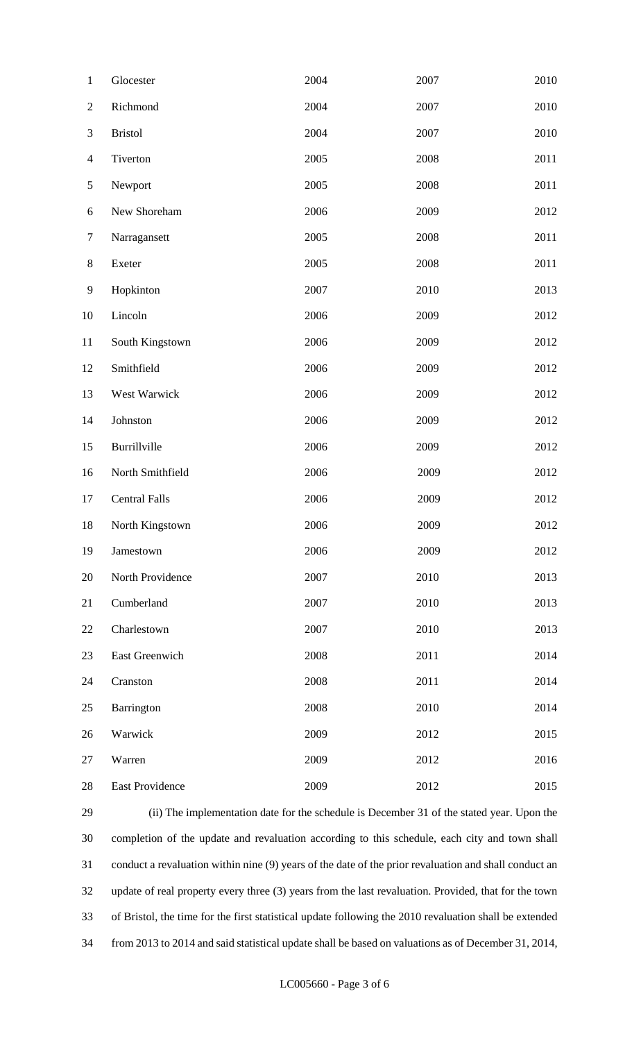| $\mathbf{1}$   | Glocester            | 2004 | 2007 | 2010 |
|----------------|----------------------|------|------|------|
| $\mathbf{2}$   | Richmond             | 2004 | 2007 | 2010 |
| $\mathfrak{Z}$ | <b>Bristol</b>       | 2004 | 2007 | 2010 |
| $\overline{4}$ | Tiverton             | 2005 | 2008 | 2011 |
| $\mathfrak{S}$ | Newport              | 2005 | 2008 | 2011 |
| 6              | New Shoreham         | 2006 | 2009 | 2012 |
| $\tau$         | Narragansett         | 2005 | 2008 | 2011 |
| $8\,$          | Exeter               | 2005 | 2008 | 2011 |
| $\mathbf{9}$   | Hopkinton            | 2007 | 2010 | 2013 |
| 10             | Lincoln              | 2006 | 2009 | 2012 |
| 11             | South Kingstown      | 2006 | 2009 | 2012 |
| 12             | Smithfield           | 2006 | 2009 | 2012 |
| 13             | West Warwick         | 2006 | 2009 | 2012 |
| 14             | Johnston             | 2006 | 2009 | 2012 |
| 15             | Burrillville         | 2006 | 2009 | 2012 |
| 16             | North Smithfield     | 2006 | 2009 | 2012 |
| 17             | <b>Central Falls</b> | 2006 | 2009 | 2012 |
| 18             | North Kingstown      | 2006 | 2009 | 2012 |
| 19             | Jamestown            | 2006 | 2009 | 2012 |
| 20             | North Providence     | 2007 | 2010 | 2013 |
| 21             | Cumberland           | 2007 | 2010 | 2013 |
| 22             | Charlestown          | 2007 | 2010 | 2013 |
| 23             | East Greenwich       | 2008 | 2011 | 2014 |
| 24             | Cranston             | 2008 | 2011 | 2014 |
| 25             | Barrington           | 2008 | 2010 | 2014 |
| 26             | Warwick              | 2009 | 2012 | 2015 |
| 27             | Warren               | 2009 | 2012 | 2016 |
| 28             | East Providence      | 2009 | 2012 | 2015 |

 (ii) The implementation date for the schedule is December 31 of the stated year. Upon the completion of the update and revaluation according to this schedule, each city and town shall conduct a revaluation within nine (9) years of the date of the prior revaluation and shall conduct an update of real property every three (3) years from the last revaluation. Provided, that for the town of Bristol, the time for the first statistical update following the 2010 revaluation shall be extended from 2013 to 2014 and said statistical update shall be based on valuations as of December 31, 2014,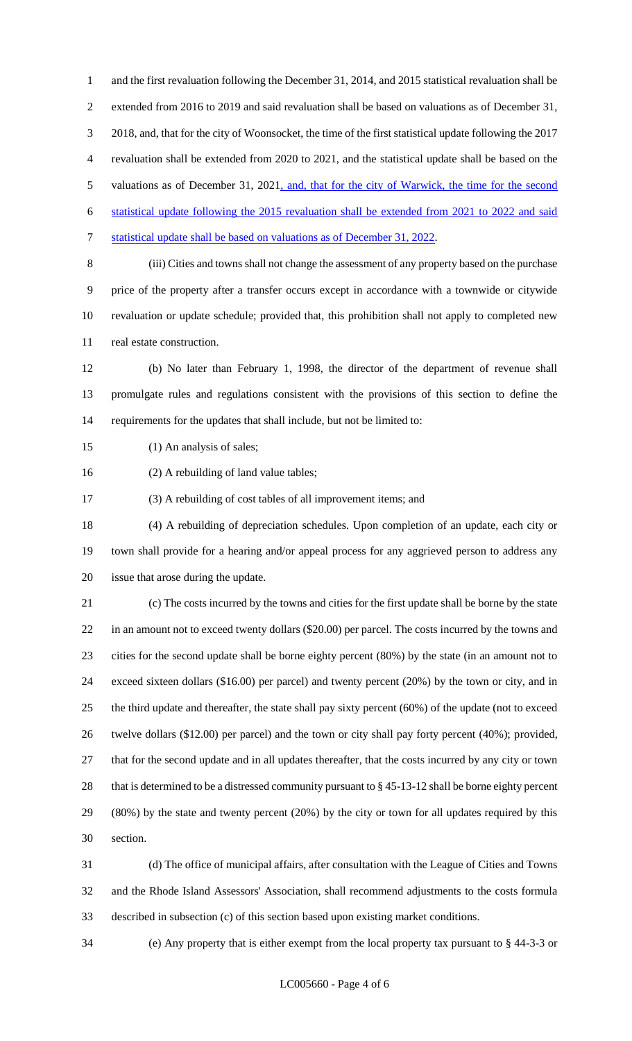and the first revaluation following the December 31, 2014, and 2015 statistical revaluation shall be extended from 2016 to 2019 and said revaluation shall be based on valuations as of December 31, 2018, and, that for the city of Woonsocket, the time of the first statistical update following the 2017 revaluation shall be extended from 2020 to 2021, and the statistical update shall be based on the 5 valuations as of December 31, 2021, and, that for the city of Warwick, the time for the second statistical update following the 2015 revaluation shall be extended from 2021 to 2022 and said statistical update shall be based on valuations as of December 31, 2022. (iii) Cities and towns shall not change the assessment of any property based on the purchase price of the property after a transfer occurs except in accordance with a townwide or citywide

 revaluation or update schedule; provided that, this prohibition shall not apply to completed new real estate construction.

 (b) No later than February 1, 1998, the director of the department of revenue shall promulgate rules and regulations consistent with the provisions of this section to define the requirements for the updates that shall include, but not be limited to:

15 (1) An analysis of sales;

(2) A rebuilding of land value tables;

(3) A rebuilding of cost tables of all improvement items; and

 (4) A rebuilding of depreciation schedules. Upon completion of an update, each city or town shall provide for a hearing and/or appeal process for any aggrieved person to address any issue that arose during the update.

 (c) The costs incurred by the towns and cities for the first update shall be borne by the state in an amount not to exceed twenty dollars (\$20.00) per parcel. The costs incurred by the towns and cities for the second update shall be borne eighty percent (80%) by the state (in an amount not to exceed sixteen dollars (\$16.00) per parcel) and twenty percent (20%) by the town or city, and in the third update and thereafter, the state shall pay sixty percent (60%) of the update (not to exceed twelve dollars (\$12.00) per parcel) and the town or city shall pay forty percent (40%); provided, that for the second update and in all updates thereafter, that the costs incurred by any city or town that is determined to be a distressed community pursuant to § 45-13-12 shall be borne eighty percent (80%) by the state and twenty percent (20%) by the city or town for all updates required by this section.

 (d) The office of municipal affairs, after consultation with the League of Cities and Towns and the Rhode Island Assessors' Association, shall recommend adjustments to the costs formula described in subsection (c) of this section based upon existing market conditions.

(e) Any property that is either exempt from the local property tax pursuant to § 44-3-3 or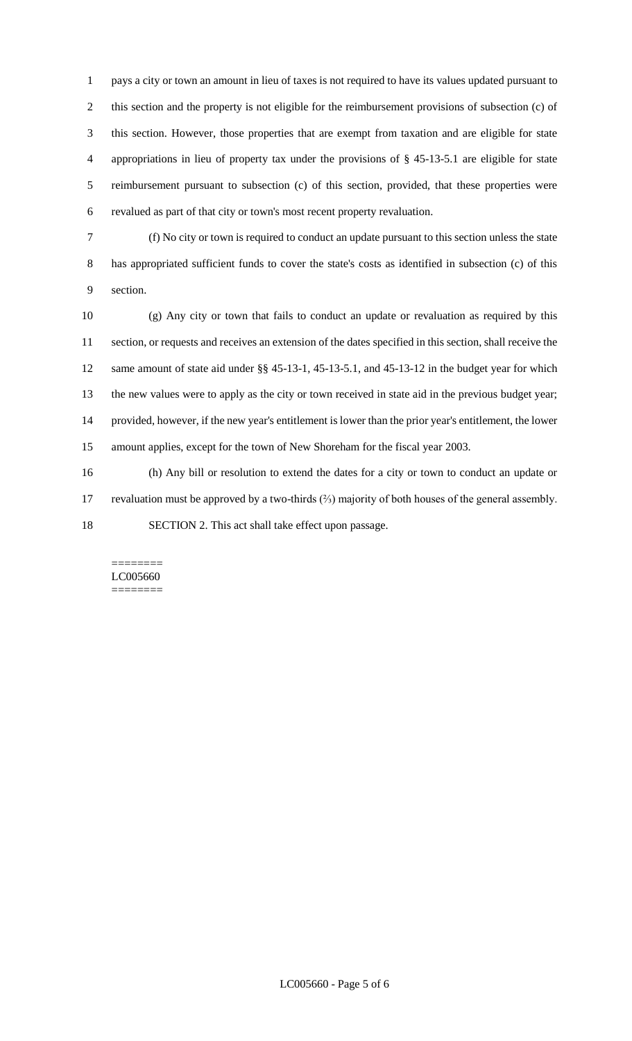pays a city or town an amount in lieu of taxes is not required to have its values updated pursuant to this section and the property is not eligible for the reimbursement provisions of subsection (c) of this section. However, those properties that are exempt from taxation and are eligible for state appropriations in lieu of property tax under the provisions of § 45-13-5.1 are eligible for state reimbursement pursuant to subsection (c) of this section, provided, that these properties were revalued as part of that city or town's most recent property revaluation.

 (f) No city or town is required to conduct an update pursuant to this section unless the state has appropriated sufficient funds to cover the state's costs as identified in subsection (c) of this section.

 (g) Any city or town that fails to conduct an update or revaluation as required by this section, or requests and receives an extension of the dates specified in this section, shall receive the same amount of state aid under §§ 45-13-1, 45-13-5.1, and 45-13-12 in the budget year for which the new values were to apply as the city or town received in state aid in the previous budget year; provided, however, if the new year's entitlement is lower than the prior year's entitlement, the lower amount applies, except for the town of New Shoreham for the fiscal year 2003.

 (h) Any bill or resolution to extend the dates for a city or town to conduct an update or revaluation must be approved by a two-thirds (⅔) majority of both houses of the general assembly. SECTION 2. This act shall take effect upon passage.

#### ======== LC005660 ========